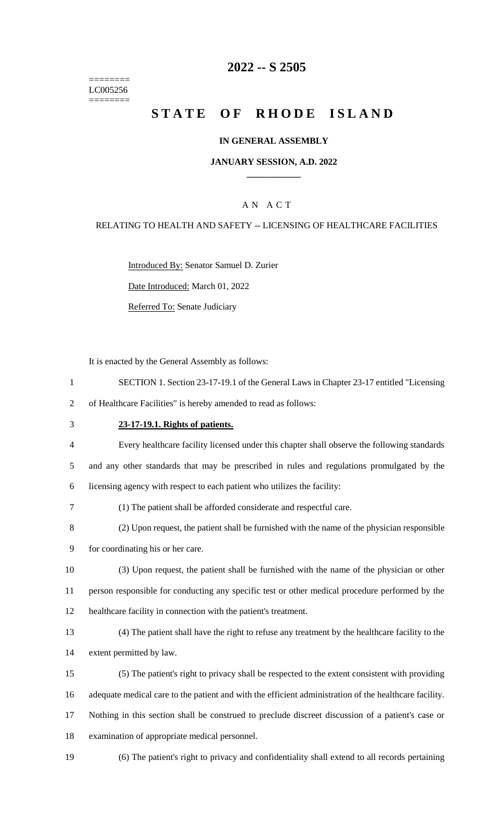======== LC005256 ========

## **-- S 2505**

# **STATE OF RHODE ISLAND**

### **IN GENERAL ASSEMBLY**

### **JANUARY SESSION, A.D. 2022 \_\_\_\_\_\_\_\_\_\_\_\_**

## A N A C T

## RELATING TO HEALTH AND SAFETY -- LICENSING OF HEALTHCARE FACILITIES

Introduced By: Senator Samuel D. Zurier

Date Introduced: March 01, 2022

Referred To: Senate Judiciary

It is enacted by the General Assembly as follows:

- SECTION 1. Section 23-17-19.1 of the General Laws in Chapter 23-17 entitled "Licensing
- of Healthcare Facilities" is hereby amended to read as follows:

#### **23-17-19.1. Rights of patients.**

 Every healthcare facility licensed under this chapter shall observe the following standards and any other standards that may be prescribed in rules and regulations promulgated by the licensing agency with respect to each patient who utilizes the facility:

- (1) The patient shall be afforded considerate and respectful care.
- (2) Upon request, the patient shall be furnished with the name of the physician responsible
- for coordinating his or her care.
- (3) Upon request, the patient shall be furnished with the name of the physician or other person responsible for conducting any specific test or other medical procedure performed by the healthcare facility in connection with the patient's treatment.
- (4) The patient shall have the right to refuse any treatment by the healthcare facility to the extent permitted by law.
- (5) The patient's right to privacy shall be respected to the extent consistent with providing adequate medical care to the patient and with the efficient administration of the healthcare facility. Nothing in this section shall be construed to preclude discreet discussion of a patient's case or
- examination of appropriate medical personnel.
- (6) The patient's right to privacy and confidentiality shall extend to all records pertaining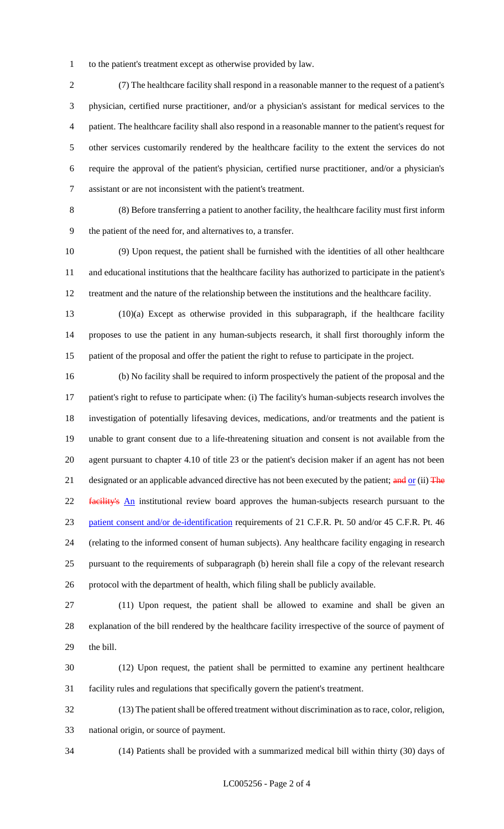to the patient's treatment except as otherwise provided by law.

 (7) The healthcare facility shall respond in a reasonable manner to the request of a patient's physician, certified nurse practitioner, and/or a physician's assistant for medical services to the patient. The healthcare facility shall also respond in a reasonable manner to the patient's request for other services customarily rendered by the healthcare facility to the extent the services do not require the approval of the patient's physician, certified nurse practitioner, and/or a physician's assistant or are not inconsistent with the patient's treatment.

 (8) Before transferring a patient to another facility, the healthcare facility must first inform the patient of the need for, and alternatives to, a transfer.

 (9) Upon request, the patient shall be furnished with the identities of all other healthcare and educational institutions that the healthcare facility has authorized to participate in the patient's treatment and the nature of the relationship between the institutions and the healthcare facility.

 (10)(a) Except as otherwise provided in this subparagraph, if the healthcare facility proposes to use the patient in any human-subjects research, it shall first thoroughly inform the patient of the proposal and offer the patient the right to refuse to participate in the project.

 (b) No facility shall be required to inform prospectively the patient of the proposal and the patient's right to refuse to participate when: (i) The facility's human-subjects research involves the investigation of potentially lifesaving devices, medications, and/or treatments and the patient is unable to grant consent due to a life-threatening situation and consent is not available from the agent pursuant to chapter 4.10 of title 23 or the patient's decision maker if an agent has not been 21 designated or an applicable advanced directive has not been executed by the patient; and or (ii) The 22 facility's An institutional review board approves the human-subjects research pursuant to the 23 patient consent and/or de-identification requirements of 21 C.F.R. Pt. 50 and/or 45 C.F.R. Pt. 46 (relating to the informed consent of human subjects). Any healthcare facility engaging in research pursuant to the requirements of subparagraph (b) herein shall file a copy of the relevant research protocol with the department of health, which filing shall be publicly available.

 (11) Upon request, the patient shall be allowed to examine and shall be given an explanation of the bill rendered by the healthcare facility irrespective of the source of payment of the bill.

 (12) Upon request, the patient shall be permitted to examine any pertinent healthcare facility rules and regulations that specifically govern the patient's treatment.

 (13) The patient shall be offered treatment without discrimination as to race, color, religion, national origin, or source of payment.

(14) Patients shall be provided with a summarized medical bill within thirty (30) days of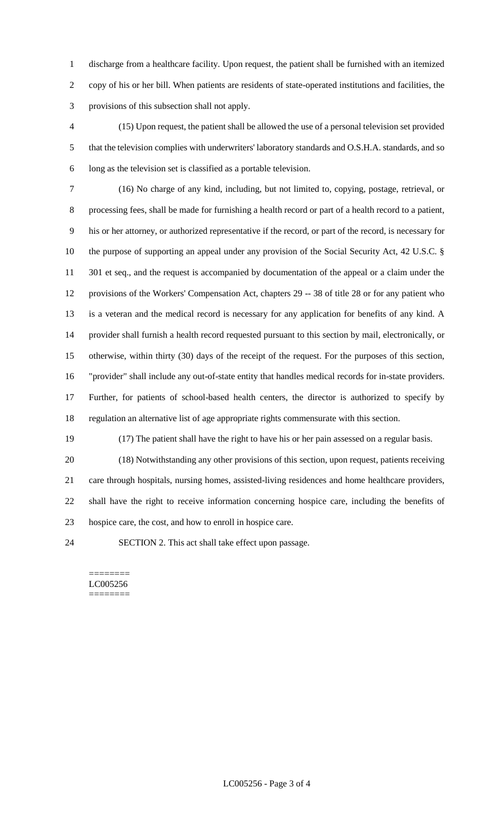discharge from a healthcare facility. Upon request, the patient shall be furnished with an itemized copy of his or her bill. When patients are residents of state-operated institutions and facilities, the provisions of this subsection shall not apply.

 (15) Upon request, the patient shall be allowed the use of a personal television set provided that the television complies with underwriters' laboratory standards and O.S.H.A. standards, and so long as the television set is classified as a portable television.

 (16) No charge of any kind, including, but not limited to, copying, postage, retrieval, or processing fees, shall be made for furnishing a health record or part of a health record to a patient, his or her attorney, or authorized representative if the record, or part of the record, is necessary for the purpose of supporting an appeal under any provision of the Social Security Act, 42 U.S.C. § 11 301 et seq., and the request is accompanied by documentation of the appeal or a claim under the provisions of the Workers' Compensation Act, chapters 29 -- 38 of title 28 or for any patient who is a veteran and the medical record is necessary for any application for benefits of any kind. A provider shall furnish a health record requested pursuant to this section by mail, electronically, or otherwise, within thirty (30) days of the receipt of the request. For the purposes of this section, "provider" shall include any out-of-state entity that handles medical records for in-state providers. Further, for patients of school-based health centers, the director is authorized to specify by regulation an alternative list of age appropriate rights commensurate with this section.

(17) The patient shall have the right to have his or her pain assessed on a regular basis.

 (18) Notwithstanding any other provisions of this section, upon request, patients receiving care through hospitals, nursing homes, assisted-living residences and home healthcare providers, shall have the right to receive information concerning hospice care, including the benefits of hospice care, the cost, and how to enroll in hospice care.

SECTION 2. This act shall take effect upon passage.

======== LC005256 ========